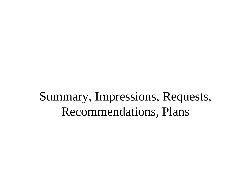#### Summary, Impressions, Requests, Recommendations, Plans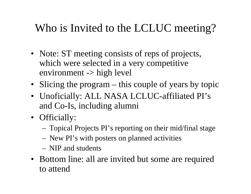#### Who is Invited to the LCLUC meeting?

- Note: ST meeting consists of reps of projects, which were selected in a very competitive environment -> high level
- Slicing the program this couple of years by topic
- Unoficially: ALL NASA LCLUC-affiliated PI's and Co-Is, including alumni
- Officially:
	- Topical Projects PI's reporting on their mid/final stage
	- New PI's with posters on planned activities
	- NIP and students
- Bottom line: all are invited but some are required to attend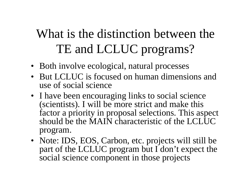## What is the distinction between the TE and LCLUC programs?

- Both involve ecological, natural processes
- But LCLUC is focused on human dimensions and use of social science
- I have been encouraging links to social science (scientists). I will be more strict and make this factor a priority in proposal selections. This aspect should be the MAIN characteristic of the LCLUC program.
- Note: IDS, EOS, Carbon, etc. projects will still be part of the LCLUC program but I don't expect the social science component in those projects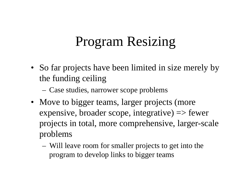## Program Resizing

• So far projects have been limited in size merely by the funding ceiling

Case studies, narrower scope problems

- Move to bigger teams, larger projects (more expensive, broader scope, integrative) => fewer projects in total, more comprehensive, larger-scale problems
	- Will leave room for smaller projects to get into the program to develop links to bigger teams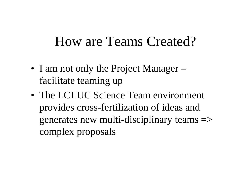#### How are Teams Created?

- I am not only the Project Manager facilitate teaming up
- The LCLUC Science Team environment provides cross-fertilization of ideas and generates new multi-disciplinary teams => complex proposals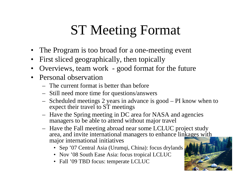# ST Meeting Format

- The Program is too broad for a one-meeting event
- •First sliced geographically, then topically
- •Overviews, team work - good format for the future
- Personal observation
	- The current format is better than before
	- Still need more time for questions/answers
	- Scheduled meetings 2 years in advance is good PI know when to expect their travel to ST meetings
	- Have the Spring meeting in DC area for NASA and agencies managers to be able to attend without major travel
	- Have the Fall meeting abroad near some LCLUC project study area, and invite international managers to enhance linkages with major international initiatives
		- Sep '07 Central Asia (Urumqi, China): focus drylands
		- Nov '08 South Ease Asia: focus tropical LCLUC
		- Fall '09 TBD focus: temperate LCLUC

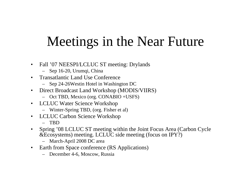# Meetings in the Near Future

- $\bullet$  Fall '07 NEESPI/LCLUC ST meeting: Drylands
	- Sep 16-20, Urumqi, China
- $\bullet$  Transatlantic Land Use Conference
	- Sep 24-26Westin Hotel in Washington DC
- $\bullet$  Direct Broadcast Land Workshop (MODIS/VIIRS)
	- Oct TBD, Mexico (org. CONABIO +USFS)
- $\bullet$  LCLUC Water Science Workshop
	- Winter-Spring TBD, (org. Fisher et al)
- $\bullet$  LCLUC Carbon Science Workshop
	- TBD
- $\bullet$  Spring '08 LCLUC ST meeting within the Joint Focus Area (Carbon Cycle &Ecosystems) meeting. LCLUC side meeting (focus on IPY?)
	- March-April 2008 DC area
- $\bullet$  Earth from Space conference (RS Applications)
	- December 4-6, Moscow, Russia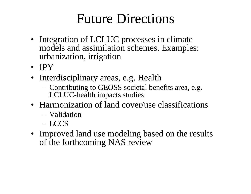### Future Directions

- Integration of LCLUC processes in climate models and assimilation schemes. Examples: urbanization, irrigation
- IPY
- Interdisciplinary areas, e.g. Health
	- Contributing to GEOSS societal benefits area, e.g. LCLUC-health impacts studies
- Harmonization of land cover/use classifications
	- Validation
	- LCCS
- Improved land use modeling based on the results of the forthcoming NAS review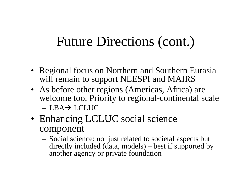### Future Directions (cont.)

- Regional focus on Northern and Southern Eurasia will remain to support NEESPI and MAIRS
- As before other regions (Americas, Africa) are welcome too. Priority to regional-continental scale  $-LBA \rightarrow LCLUC$
- Enhancing LCLUC social science component
	- Social science: not just related to societal aspects but directly included (data, models) – best if supported by another agency or private foundation